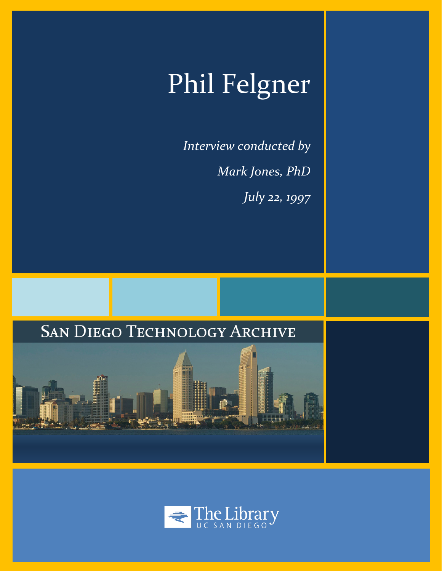# Phil Felgner

*Interview conducted by Mark Jones, PhD July 22, 1997*





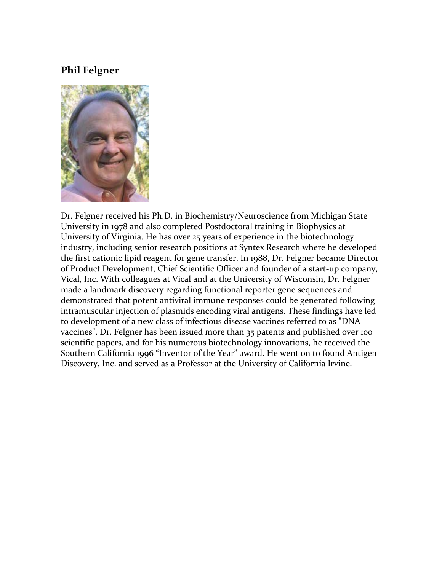# **Phil Felgner**



Dr. Felgner received his Ph.D. in Biochemistry/Neuroscience from Michigan State University in 1978 and also completed Postdoctoral training in Biophysics at University of Virginia. He has over 25 years of experience in the biotechnology industry, including senior research positions at Syntex Research where he developed the first cationic lipid reagent for gene transfer. In 1988, Dr. Felgner became Director of Product Development, Chief Scientific Officer and founder of a start-up company, Vical, Inc. With colleagues at Vical and at the University of Wisconsin, Dr. Felgner made a landmark discovery regarding functional reporter gene sequences and demonstrated that potent antiviral immune responses could be generated following intramuscular injection of plasmids encoding viral antigens. These findings have led to development of a new class of infectious disease vaccines referred to as "DNA vaccines". Dr. Felgner has been issued more than 35 patents and published over 100 scientific papers, and for his numerous biotechnology innovations, he received the Southern California 1996 "Inventor of the Year" award. He went on to found Antigen Discovery, Inc. and served as a Professor at the University of California Irvine.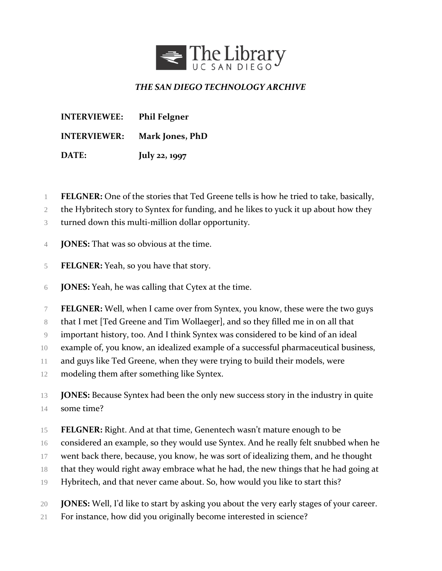

## *THE SAN DIEGO TECHNOLOGY ARCHIVE*

**INTERVIEWEE: Phil Felgner INTERVIEWER: Mark Jones, PhD DATE: July 22, 1997**

- **FELGNER:** One of the stories that Ted Greene tells is how he tried to take, basically,
- 2 the Hybritech story to Syntex for funding, and he likes to yuck it up about how they
- turned down this multi-million dollar opportunity.
- **JONES:** That was so obvious at the time.
- **FELGNER:** Yeah, so you have that story.
- **JONES:** Yeah, he was calling that Cytex at the time.
- **FELGNER:** Well, when I came over from Syntex, you know, these were the two guys
- that I met [Ted Greene and Tim Wollaeger], and so they filled me in on all that
- important history, too. And I think Syntex was considered to be kind of an ideal
- example of, you know, an idealized example of a successful pharmaceutical business,
- 11 and guys like Ted Greene, when they were trying to build their models, were
- modeling them after something like Syntex.
- **JONES:** Because Syntex had been the only new success story in the industry in quite some time?
- **FELGNER:** Right. And at that time, Genentech wasn't mature enough to be
- considered an example, so they would use Syntex. And he really felt snubbed when he
- went back there, because, you know, he was sort of idealizing them, and he thought
- that they would right away embrace what he had, the new things that he had going at
- Hybritech, and that never came about. So, how would you like to start this?
- **JONES:** Well, I'd like to start by asking you about the very early stages of your career.
- For instance, how did you originally become interested in science?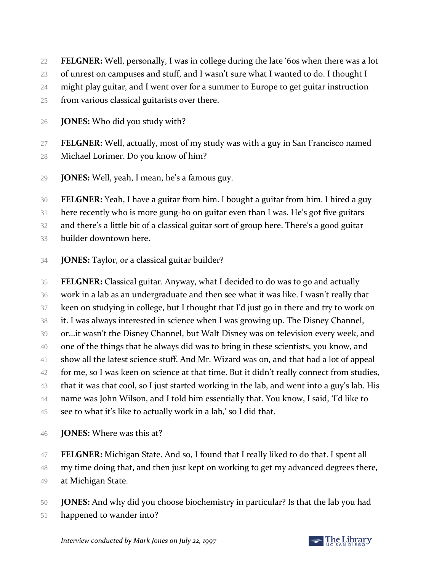**FELGNER:** Well, personally, I was in college during the late '60s when there was a lot

23 of unrest on campuses and stuff, and I wasn't sure what I wanted to do. I thought I

might play guitar, and I went over for a summer to Europe to get guitar instruction

from various classical guitarists over there.

**JONES:** Who did you study with?

 **FELGNER:** Well, actually, most of my study was with a guy in San Francisco named Michael Lorimer. Do you know of him?

**JONES:** Well, yeah, I mean, he's a famous guy.

**FELGNER:** Yeah, I have a guitar from him. I bought a guitar from him. I hired a guy

here recently who is more gung-ho on guitar even than I was. He's got five guitars

and there's a little bit of a classical guitar sort of group here. There's a good guitar

builder downtown here.

**JONES:** Taylor, or a classical guitar builder?

 **FELGNER:** Classical guitar. Anyway, what I decided to do was to go and actually work in a lab as an undergraduate and then see what it was like. I wasn't really that keen on studying in college, but I thought that I'd just go in there and try to work on it. I was always interested in science when I was growing up. The Disney Channel, or...it wasn't the Disney Channel, but Walt Disney was on television every week, and one of the things that he always did was to bring in these scientists, you know, and show all the latest science stuff. And Mr. Wizard was on, and that had a lot of appeal 42 for me, so I was keen on science at that time. But it didn't really connect from studies, that it was that cool, so I just started working in the lab, and went into a guy's lab. His name was John Wilson, and I told him essentially that. You know, I said, 'I'd like to see to what it's like to actually work in a lab,' so I did that.

- **JONES:** Where was this at?
- **FELGNER:** Michigan State. And so, I found that I really liked to do that. I spent all

48 my time doing that, and then just kept on working to get my advanced degrees there,

- at Michigan State.
- **JONES:** And why did you choose biochemistry in particular? Is that the lab you had
- happened to wander into?

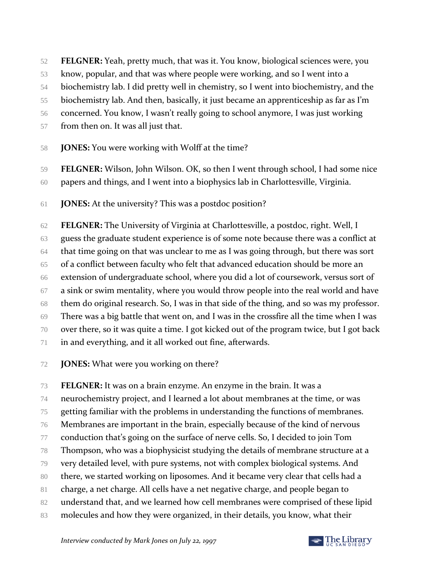- **FELGNER:** Yeah, pretty much, that was it. You know, biological sciences were, you
- know, popular, and that was where people were working, and so I went into a
- biochemistry lab. I did pretty well in chemistry, so I went into biochemistry, and the

biochemistry lab. And then, basically, it just became an apprenticeship as far as I'm

concerned. You know, I wasn't really going to school anymore, I was just working

- from then on. It was all just that.
- **JONES:** You were working with Wolff at the time?
- **FELGNER:** Wilson, John Wilson. OK, so then I went through school, I had some nice
- papers and things, and I went into a biophysics lab in Charlottesville, Virginia.
- **JONES:** At the university? This was a postdoc position?

 **FELGNER:** The University of Virginia at Charlottesville, a postdoc, right. Well, I guess the graduate student experience is of some note because there was a conflict at that time going on that was unclear to me as I was going through, but there was sort of a conflict between faculty who felt that advanced education should be more an extension of undergraduate school, where you did a lot of coursework, versus sort of a sink or swim mentality, where you would throw people into the real world and have them do original research. So, I was in that side of the thing, and so was my professor. There was a big battle that went on, and I was in the crossfire all the time when I was over there, so it was quite a time. I got kicked out of the program twice, but I got back in and everything, and it all worked out fine, afterwards.

**JONES:** What were you working on there?

 **FELGNER:** It was on a brain enzyme. An enzyme in the brain. It was a neurochemistry project, and I learned a lot about membranes at the time, or was getting familiar with the problems in understanding the functions of membranes. Membranes are important in the brain, especially because of the kind of nervous conduction that's going on the surface of nerve cells. So, I decided to join Tom Thompson, who was a biophysicist studying the details of membrane structure at a very detailed level, with pure systems, not with complex biological systems. And there, we started working on liposomes. And it became very clear that cells had a charge, a net charge. All cells have a net negative charge, and people began to 82 understand that, and we learned how cell membranes were comprised of these lipid molecules and how they were organized, in their details, you know, what their

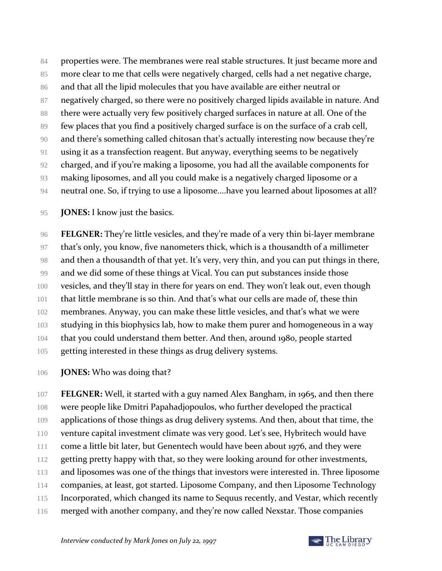84 properties were. The membranes were real stable structures. It just became more and more clear to me that cells were negatively charged, cells had a net negative charge, 86 and that all the lipid molecules that you have available are either neutral or negatively charged, so there were no positively charged lipids available in nature. And 88 there were actually very few positively charged surfaces in nature at all. One of the few places that you find a positively charged surface is on the surface of a crab cell, and there's something called chitosan that's actually interesting now because they're using it as a transfection reagent. But anyway, everything seems to be negatively charged, and if you're making a liposome, you had all the available components for making liposomes, and all you could make is a negatively charged liposome or a neutral one. So, if trying to use a liposome....have you learned about liposomes at all?

**JONES:** I know just the basics.

 **FELGNER:** They're little vesicles, and they're made of a very thin bi-layer membrane that's only, you know, five nanometers thick, which is a thousandth of a millimeter and then a thousandth of that yet. It's very, very thin, and you can put things in there, and we did some of these things at Vical. You can put substances inside those vesicles, and they'll stay in there for years on end. They won't leak out, even though that little membrane is so thin. And that's what our cells are made of, these thin membranes. Anyway, you can make these little vesicles, and that's what we were studying in this biophysics lab, how to make them purer and homogeneous in a way that you could understand them better. And then, around 1980, people started getting interested in these things as drug delivery systems.

**JONES:** Who was doing that?

 **FELGNER:** Well, it started with a guy named Alex Bangham, in 1965, and then there were people like Dmitri Papahadjopoulos, who further developed the practical 109 applications of those things as drug delivery systems. And then, about that time, the venture capital investment climate was very good. Let's see, Hybritech would have 111 come a little bit later, but Genentech would have been about 1976, and they were 112 getting pretty happy with that, so they were looking around for other investments, 113 and liposomes was one of the things that investors were interested in. Three liposome companies, at least, got started. Liposome Company, and then Liposome Technology 115 Incorporated, which changed its name to Sequus recently, and Vestar, which recently 116 merged with another company, and they're now called Nexstar. Those companies

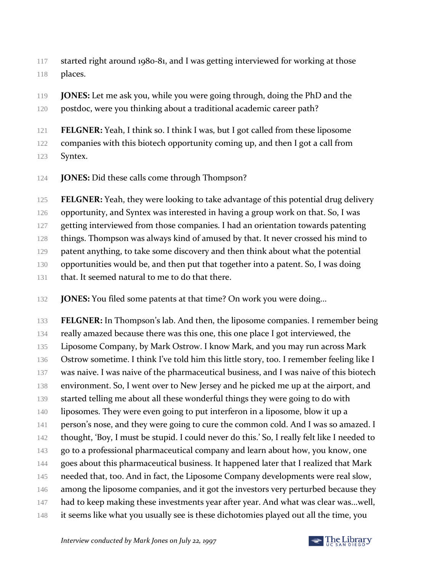- started right around 1980-81, and I was getting interviewed for working at those places.
- **JONES:** Let me ask you, while you were going through, doing the PhD and the 120 postdoc, were you thinking about a traditional academic career path?
- **FELGNER:** Yeah, I think so. I think I was, but I got called from these liposome

companies with this biotech opportunity coming up, and then I got a call from

- Syntex.
- **JONES:** Did these calls come through Thompson?
- **FELGNER:** Yeah, they were looking to take advantage of this potential drug delivery
- opportunity, and Syntex was interested in having a group work on that. So, I was
- 127 getting interviewed from those companies. I had an orientation towards patenting
- things. Thompson was always kind of amused by that. It never crossed his mind to
- 129 patent anything, to take some discovery and then think about what the potential
- opportunities would be, and then put that together into a patent. So, I was doing
- 131 that. It seemed natural to me to do that there.
- **JONES:** You filed some patents at that time? On work you were doing...
- **FELGNER:** In Thompson's lab. And then, the liposome companies. I remember being really amazed because there was this one, this one place I got interviewed, the Liposome Company, by Mark Ostrow. I know Mark, and you may run across Mark 136 Ostrow sometime. I think I've told him this little story, too. I remember feeling like I was naive. I was naive of the pharmaceutical business, and I was naive of this biotech environment. So, I went over to New Jersey and he picked me up at the airport, and 139 started telling me about all these wonderful things they were going to do with liposomes. They were even going to put interferon in a liposome, blow it up a 141 person's nose, and they were going to cure the common cold. And I was so amazed. I thought, 'Boy, I must be stupid. I could never do this.' So, I really felt like I needed to go to a professional pharmaceutical company and learn about how, you know, one 144 goes about this pharmaceutical business. It happened later that I realized that Mark needed that, too. And in fact, the Liposome Company developments were real slow, 146 among the liposome companies, and it got the investors very perturbed because they 147 had to keep making these investments year after year. And what was clear was...well, it seems like what you usually see is these dichotomies played out all the time, you

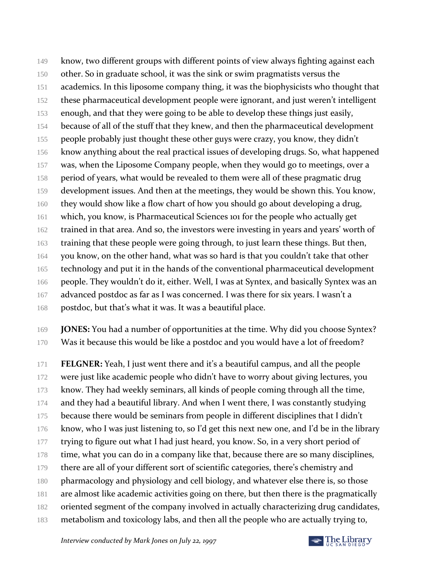149 know, two different groups with different points of view always fighting against each 150 other. So in graduate school, it was the sink or swim pragmatists versus the 151 academics. In this liposome company thing, it was the biophysicists who thought that 152 these pharmaceutical development people were ignorant, and just weren't intelligent 153 enough, and that they were going to be able to develop these things just easily, 154 because of all of the stuff that they knew, and then the pharmaceutical development 155 people probably just thought these other guys were crazy, you know, they didn't 156 know anything about the real practical issues of developing drugs. So, what happened 157 was, when the Liposome Company people, when they would go to meetings, over a 158 period of years, what would be revealed to them were all of these pragmatic drug 159 development issues. And then at the meetings, they would be shown this. You know, 160 they would show like a flow chart of how you should go about developing a drug, 161 which, you know, is Pharmaceutical Sciences 101 for the people who actually get 162 trained in that area. And so, the investors were investing in years and years' worth of 163 training that these people were going through, to just learn these things. But then, 164 you know, on the other hand, what was so hard is that you couldn't take that other 165 technology and put it in the hands of the conventional pharmaceutical development 166 people. They wouldn't do it, either. Well, I was at Syntex, and basically Syntex was an 167 advanced postdoc as far as I was concerned. I was there for six years. I wasn't a 168 postdoc, but that's what it was. It was a beautiful place.

169 **JONES:** You had a number of opportunities at the time. Why did you choose Syntex? 170 Was it because this would be like a postdoc and you would have a lot of freedom?

171 **FELGNER:** Yeah, I just went there and it's a beautiful campus, and all the people 172 were just like academic people who didn't have to worry about giving lectures, you 173 know. They had weekly seminars, all kinds of people coming through all the time, 174 and they had a beautiful library. And when I went there, I was constantly studying 175 because there would be seminars from people in different disciplines that I didn't 176 know, who I was just listening to, so I'd get this next new one, and I'd be in the library 177 trying to figure out what I had just heard, you know. So, in a very short period of 178 time, what you can do in a company like that, because there are so many disciplines, 179 there are all of your different sort of scientific categories, there's chemistry and 180 pharmacology and physiology and cell biology, and whatever else there is, so those 181 are almost like academic activities going on there, but then there is the pragmatically 182 oriented segment of the company involved in actually characterizing drug candidates,

# 183 metabolism and toxicology labs, and then all the people who are actually trying to,

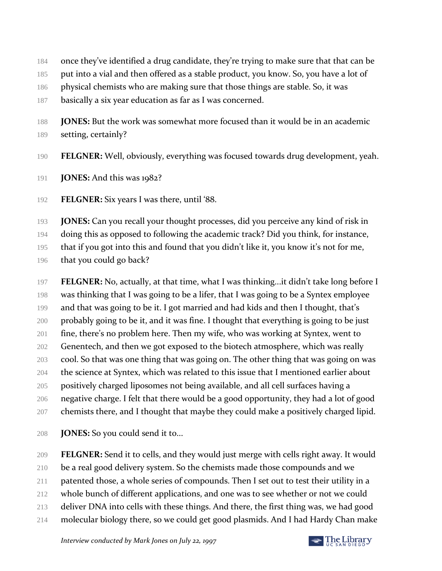- 184 once they've identified a drug candidate, they're trying to make sure that that can be
- put into a vial and then offered as a stable product, you know. So, you have a lot of
- 186 physical chemists who are making sure that those things are stable. So, it was
- 187 basically a six year education as far as I was concerned.
- **JONES:** But the work was somewhat more focused than it would be in an academic setting, certainly?
- **FELGNER:** Well, obviously, everything was focused towards drug development, yeah.
- **JONES:** And this was 1982?
- **FELGNER:** Six years I was there, until '88.

**JONES:** Can you recall your thought processes, did you perceive any kind of risk in

doing this as opposed to following the academic track? Did you think, for instance,

that if you got into this and found that you didn't like it, you know it's not for me,

196 that you could go back?

 **FELGNER:** No, actually, at that time, what I was thinking...it didn't take long before I was thinking that I was going to be a lifer, that I was going to be a Syntex employee 199 and that was going to be it. I got married and had kids and then I thought, that's probably going to be it, and it was fine. I thought that everything is going to be just fine, there's no problem here. Then my wife, who was working at Syntex, went to 202 Genentech, and then we got exposed to the biotech atmosphere, which was really cool. So that was one thing that was going on. The other thing that was going on was the science at Syntex, which was related to this issue that I mentioned earlier about positively charged liposomes not being available, and all cell surfaces having a negative charge. I felt that there would be a good opportunity, they had a lot of good chemists there, and I thought that maybe they could make a positively charged lipid.

**JONES:** So you could send it to...

**FELGNER:** Send it to cells, and they would just merge with cells right away. It would

- be a real good delivery system. So the chemists made those compounds and we
- patented those, a whole series of compounds. Then I set out to test their utility in a
- whole bunch of different applications, and one was to see whether or not we could
- 213 deliver DNA into cells with these things. And there, the first thing was, we had good
- molecular biology there, so we could get good plasmids. And I had Hardy Chan make

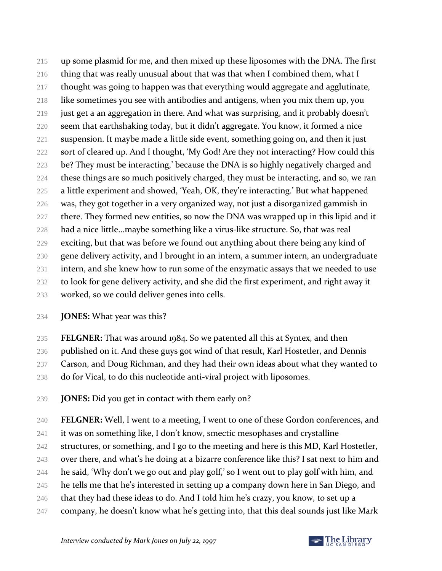up some plasmid for me, and then mixed up these liposomes with the DNA. The first 216 thing that was really unusual about that was that when I combined them, what I thought was going to happen was that everything would aggregate and agglutinate, like sometimes you see with antibodies and antigens, when you mix them up, you just get a an aggregation in there. And what was surprising, and it probably doesn't seem that earthshaking today, but it didn't aggregate. You know, it formed a nice suspension. It maybe made a little side event, something going on, and then it just 222 sort of cleared up. And I thought, 'My God! Are they not interacting? How could this be? They must be interacting,' because the DNA is so highly negatively charged and these things are so much positively charged, they must be interacting, and so, we ran a little experiment and showed, 'Yeah, OK, they're interacting.' But what happened was, they got together in a very organized way, not just a disorganized gammish in 227 there. They formed new entities, so now the DNA was wrapped up in this lipid and it had a nice little...maybe something like a virus-like structure. So, that was real exciting, but that was before we found out anything about there being any kind of gene delivery activity, and I brought in an intern, a summer intern, an undergraduate 231 intern, and she knew how to run some of the enzymatic assays that we needed to use to look for gene delivery activity, and she did the first experiment, and right away it worked, so we could deliver genes into cells.

- **JONES:** What year was this?
- **FELGNER:** That was around 1984. So we patented all this at Syntex, and then
- published on it. And these guys got wind of that result, Karl Hostetler, and Dennis
- 237 Carson, and Doug Richman, and they had their own ideas about what they wanted to
- do for Vical, to do this nucleotide anti-viral project with liposomes.
- **JONES:** Did you get in contact with them early on?
- **FELGNER:** Well, I went to a meeting, I went to one of these Gordon conferences, and
- it was on something like, I don't know, smectic mesophases and crystalline
- 242 structures, or something, and I go to the meeting and here is this MD, Karl Hostetler,
- over there, and what's he doing at a bizarre conference like this? I sat next to him and
- 244 he said, 'Why don't we go out and play golf,' so I went out to play golf with him, and
- 245 he tells me that he's interested in setting up a company down here in San Diego, and
- 246 that they had these ideas to do. And I told him he's crazy, you know, to set up a
- company, he doesn't know what he's getting into, that this deal sounds just like Mark

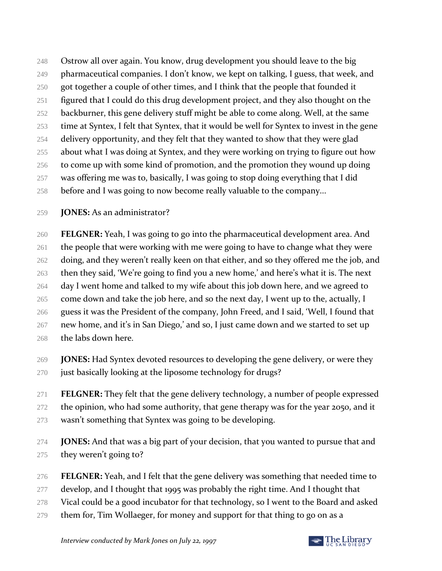Ostrow all over again. You know, drug development you should leave to the big 249 pharmaceutical companies. I don't know, we kept on talking, I guess, that week, and 250 got together a couple of other times, and I think that the people that founded it figured that I could do this drug development project, and they also thought on the 252 backburner, this gene delivery stuff might be able to come along. Well, at the same time at Syntex, I felt that Syntex, that it would be well for Syntex to invest in the gene delivery opportunity, and they felt that they wanted to show that they were glad about what I was doing at Syntex, and they were working on trying to figure out how to come up with some kind of promotion, and the promotion they wound up doing was offering me was to, basically, I was going to stop doing everything that I did 258 before and I was going to now become really valuable to the company...

**JONES:** As an administrator?

 **FELGNER:** Yeah, I was going to go into the pharmaceutical development area. And the people that were working with me were going to have to change what they were 262 doing, and they weren't really keen on that either, and so they offered me the job, and then they said, 'We're going to find you a new home,' and here's what it is. The next 264 day I went home and talked to my wife about this job down here, and we agreed to 265 come down and take the job here, and so the next day, I went up to the, actually, I guess it was the President of the company, John Freed, and I said, 'Well, I found that new home, and it's in San Diego,' and so, I just came down and we started to set up the labs down here.

- **JONES:** Had Syntex devoted resources to developing the gene delivery, or were they 270 just basically looking at the liposome technology for drugs?
- **FELGNER:** They felt that the gene delivery technology, a number of people expressed 272 the opinion, who had some authority, that gene therapy was for the year 2050, and it wasn't something that Syntex was going to be developing.
- **JONES:** And that was a big part of your decision, that you wanted to pursue that and they weren't going to?
- **FELGNER:** Yeah, and I felt that the gene delivery was something that needed time to
- 277 develop, and I thought that 1995 was probably the right time. And I thought that
- Vical could be a good incubator for that technology, so I went to the Board and asked
- them for, Tim Wollaeger, for money and support for that thing to go on as a

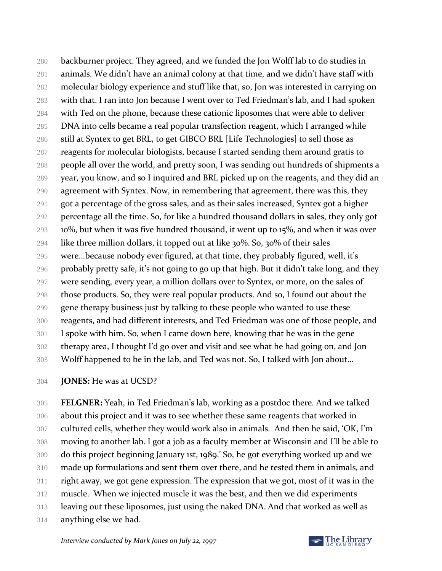backburner project. They agreed, and we funded the Jon Wolff lab to do studies in animals. We didn't have an animal colony at that time, and we didn't have staff with molecular biology experience and stuff like that, so, Jon was interested in carrying on with that. I ran into Jon because I went over to Ted Friedman's lab, and I had spoken with Ted on the phone, because these cationic liposomes that were able to deliver DNA into cells became a real popular transfection reagent, which I arranged while still at Syntex to get BRL, to get GIBCO BRL [Life Technologies] to sell those as reagents for molecular biologists, because I started sending them around gratis to people all over the world, and pretty soon, I was sending out hundreds of shipments a year, you know, and so I inquired and BRL picked up on the reagents, and they did an agreement with Syntex. Now, in remembering that agreement, there was this, they got a percentage of the gross sales, and as their sales increased, Syntex got a higher percentage all the time. So, for like a hundred thousand dollars in sales, they only got 10%, but when it was five hundred thousand, it went up to 15%, and when it was over 294 like three million dollars, it topped out at like  $30\%$ . So,  $30\%$  of their sales were...because nobody ever figured, at that time, they probably figured, well, it's 296 probably pretty safe, it's not going to go up that high. But it didn't take long, and they were sending, every year, a million dollars over to Syntex, or more, on the sales of those products. So, they were real popular products. And so, I found out about the 299 gene therapy business just by talking to these people who wanted to use these reagents, and had different interests, and Ted Friedman was one of those people, and I spoke with him. So, when I came down here, knowing that he was in the gene therapy area, I thought I'd go over and visit and see what he had going on, and Jon Wolff happened to be in the lab, and Ted was not. So, I talked with Jon about...

**JONES:** He was at UCSD?

 **FELGNER:** Yeah, in Ted Friedman's lab, working as a postdoc there. And we talked about this project and it was to see whether these same reagents that worked in cultured cells, whether they would work also in animals. And then he said, 'OK, I'm moving to another lab. I got a job as a faculty member at Wisconsin and I'll be able to do this project beginning January 1st, 1989.' So, he got everything worked up and we made up formulations and sent them over there, and he tested them in animals, and right away, we got gene expression. The expression that we got, most of it was in the muscle. When we injected muscle it was the best, and then we did experiments leaving out these liposomes, just using the naked DNA. And that worked as well as

anything else we had.

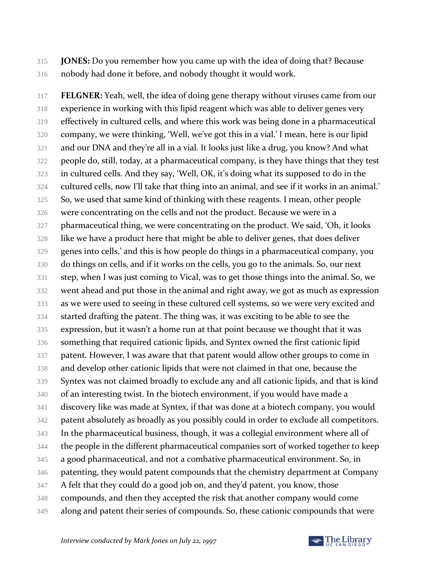**JONES:** Do you remember how you came up with the idea of doing that? Because nobody had done it before, and nobody thought it would work.

 **FELGNER:** Yeah, well, the idea of doing gene therapy without viruses came from our experience in working with this lipid reagent which was able to deliver genes very effectively in cultured cells, and where this work was being done in a pharmaceutical company, we were thinking, 'Well, we've got this in a vial.' I mean, here is our lipid and our DNA and they're all in a vial. It looks just like a drug, you know? And what people do, still, today, at a pharmaceutical company, is they have things that they test in cultured cells. And they say, 'Well, OK, it's doing what its supposed to do in the cultured cells, now I'll take that thing into an animal, and see if it works in an animal.' So, we used that same kind of thinking with these reagents. I mean, other people were concentrating on the cells and not the product. Because we were in a 327 pharmaceutical thing, we were concentrating on the product. We said, 'Oh, it looks like we have a product here that might be able to deliver genes, that does deliver genes into cells,' and this is how people do things in a pharmaceutical company, you do things on cells, and if it works on the cells, you go to the animals. So, our next step, when I was just coming to Vical, was to get those things into the animal. So, we went ahead and put those in the animal and right away, we got as much as expression as we were used to seeing in these cultured cell systems, so we were very excited and started drafting the patent. The thing was, it was exciting to be able to see the expression, but it wasn't a home run at that point because we thought that it was something that required cationic lipids, and Syntex owned the first cationic lipid patent. However, I was aware that that patent would allow other groups to come in and develop other cationic lipids that were not claimed in that one, because the Syntex was not claimed broadly to exclude any and all cationic lipids, and that is kind of an interesting twist. In the biotech environment, if you would have made a discovery like was made at Syntex, if that was done at a biotech company, you would patent absolutely as broadly as you possibly could in order to exclude all competitors. In the pharmaceutical business, though, it was a collegial environment where all of the people in the different pharmaceutical companies sort of worked together to keep 345 a good pharmaceutical, and not a combative pharmaceutical environment. So, in patenting, they would patent compounds that the chemistry department at Company A felt that they could do a good job on, and they'd patent, you know, those compounds, and then they accepted the risk that another company would come along and patent their series of compounds. So, these cationic compounds that were

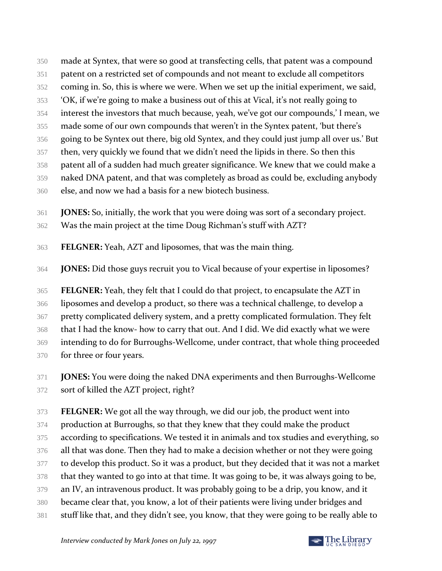- made at Syntex, that were so good at transfecting cells, that patent was a compound
- patent on a restricted set of compounds and not meant to exclude all competitors
- coming in. So, this is where we were. When we set up the initial experiment, we said,
- 'OK, if we're going to make a business out of this at Vical, it's not really going to
- interest the investors that much because, yeah, we've got our compounds,' I mean, we
- made some of our own compounds that weren't in the Syntex patent, 'but there's
- going to be Syntex out there, big old Syntex, and they could just jump all over us.' But
- then, very quickly we found that we didn't need the lipids in there. So then this
- patent all of a sudden had much greater significance. We knew that we could make a
- naked DNA patent, and that was completely as broad as could be, excluding anybody
- else, and now we had a basis for a new biotech business.
- **JONES:** So, initially, the work that you were doing was sort of a secondary project.
- Was the main project at the time Doug Richman's stuff with AZT?
- **FELGNER:** Yeah, AZT and liposomes, that was the main thing.
- **JONES:** Did those guys recruit you to Vical because of your expertise in liposomes?

 **FELGNER:** Yeah, they felt that I could do that project, to encapsulate the AZT in liposomes and develop a product, so there was a technical challenge, to develop a 367 pretty complicated delivery system, and a pretty complicated formulation. They felt that I had the know- how to carry that out. And I did. We did exactly what we were intending to do for Burroughs-Wellcome, under contract, that whole thing proceeded for three or four years.

 **JONES:** You were doing the naked DNA experiments and then Burroughs-Wellcome sort of killed the AZT project, right?

 **FELGNER:** We got all the way through, we did our job, the product went into 374 production at Burroughs, so that they knew that they could make the product 375 according to specifications. We tested it in animals and tox studies and everything, so 376 all that was done. Then they had to make a decision whether or not they were going to develop this product. So it was a product, but they decided that it was not a market that they wanted to go into at that time. It was going to be, it was always going to be, an IV, an intravenous product. It was probably going to be a drip, you know, and it became clear that, you know, a lot of their patients were living under bridges and stuff like that, and they didn't see, you know, that they were going to be really able to

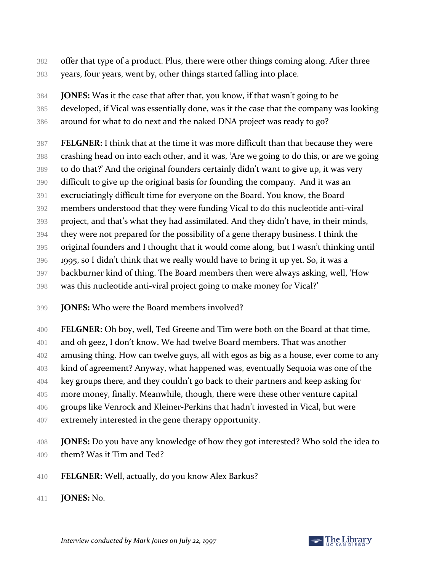- offer that type of a product. Plus, there were other things coming along. After three years, four years, went by, other things started falling into place.
- **JONES:** Was it the case that after that, you know, if that wasn't going to be developed, if Vical was essentially done, was it the case that the company was looking around for what to do next and the naked DNA project was ready to go?
- **FELGNER:** I think that at the time it was more difficult than that because they were
- crashing head on into each other, and it was, 'Are we going to do this, or are we going
- to do that?' And the original founders certainly didn't want to give up, it was very
- difficult to give up the original basis for founding the company. And it was an
- excruciatingly difficult time for everyone on the Board. You know, the Board
- members understood that they were funding Vical to do this nucleotide anti-viral
- project, and that's what they had assimilated. And they didn't have, in their minds,
- they were not prepared for the possibility of a gene therapy business. I think the
- original founders and I thought that it would come along, but I wasn't thinking until
- 1995, so I didn't think that we really would have to bring it up yet. So, it was a
- backburner kind of thing. The Board members then were always asking, well, 'How
- was this nucleotide anti-viral project going to make money for Vical?'
- **JONES:** Who were the Board members involved?
- **FELGNER:** Oh boy, well, Ted Greene and Tim were both on the Board at that time,
- and oh geez, I don't know. We had twelve Board members. That was another
- amusing thing. How can twelve guys, all with egos as big as a house, ever come to any
- kind of agreement? Anyway, what happened was, eventually Sequoia was one of the
- key groups there, and they couldn't go back to their partners and keep asking for
- more money, finally. Meanwhile, though, there were these other venture capital groups like Venrock and Kleiner-Perkins that hadn't invested in Vical, but were
- extremely interested in the gene therapy opportunity.
- **JONES:** Do you have any knowledge of how they got interested? Who sold the idea to them? Was it Tim and Ted?
- **FELGNER:** Well, actually, do you know Alex Barkus?
- **JONES:** No.

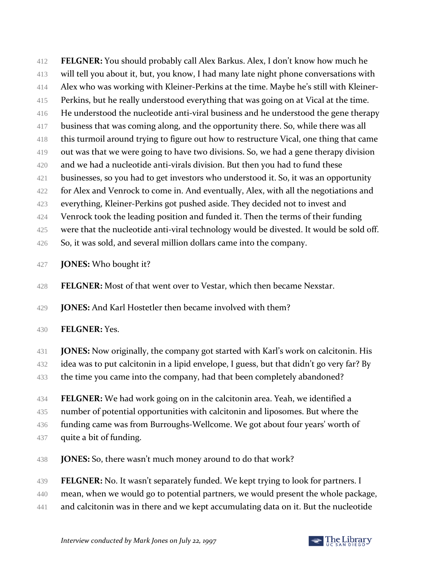412 **FELGNER:** You should probably call Alex Barkus. Alex, I don't know how much he 413 will tell you about it, but, you know, I had many late night phone conversations with 414 Alex who was working with Kleiner-Perkins at the time. Maybe he's still with Kleiner-415 Perkins, but he really understood everything that was going on at Vical at the time. 416 He understood the nucleotide anti-viral business and he understood the gene therapy 417 business that was coming along, and the opportunity there. So, while there was all 418 this turmoil around trying to figure out how to restructure Vical, one thing that came 419 out was that we were going to have two divisions. So, we had a gene therapy division 420 and we had a nucleotide anti-virals division. But then you had to fund these 421 businesses, so you had to get investors who understood it. So, it was an opportunity 422 for Alex and Venrock to come in. And eventually, Alex, with all the negotiations and 423 everything, Kleiner-Perkins got pushed aside. They decided not to invest and 424 Venrock took the leading position and funded it. Then the terms of their funding 425 were that the nucleotide anti-viral technology would be divested. It would be sold off.

- 426 So, it was sold, and several million dollars came into the company.
- 427 **JONES:** Who bought it?
- 428 **FELGNER:** Most of that went over to Vestar, which then became Nexstar.
- 429 **JONES:** And Karl Hostetler then became involved with them?
- 430 **FELGNER:** Yes.
- 431 **JONES:** Now originally, the company got started with Karl's work on calcitonin. His
- 432 idea was to put calcitonin in a lipid envelope, I guess, but that didn't go very far? By
- 433 the time you came into the company, had that been completely abandoned?
- 434 **FELGNER:** We had work going on in the calcitonin area. Yeah, we identified a 435 number of potential opportunities with calcitonin and liposomes. But where the 436 funding came was from Burroughs-Wellcome. We got about four years' worth of 437 quite a bit of funding.
- 438 **JONES:** So, there wasn't much money around to do that work?
- 439 **FELGNER:** No. It wasn't separately funded. We kept trying to look for partners. I
- 440 mean, when we would go to potential partners, we would present the whole package,
- 441 and calcitonin was in there and we kept accumulating data on it. But the nucleotide

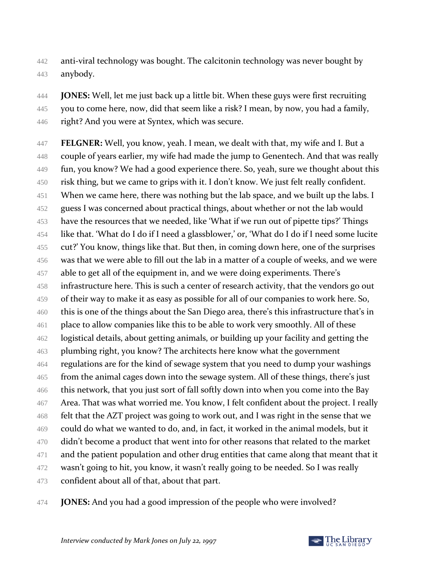- 442 anti-viral technology was bought. The calcitonin technology was never bought by 443 anybody.
- 444 **JONES:** Well, let me just back up a little bit. When these guys were first recruiting 445 you to come here, now, did that seem like a risk? I mean, by now, you had a family, 446 right? And you were at Syntex, which was secure.
- 447 **FELGNER:** Well, you know, yeah. I mean, we dealt with that, my wife and I. But a 448 couple of years earlier, my wife had made the jump to Genentech. And that was really 449 fun, you know? We had a good experience there. So, yeah, sure we thought about this 450 risk thing, but we came to grips with it. I don't know. We just felt really confident. 451 When we came here, there was nothing but the lab space, and we built up the labs. I 452 guess I was concerned about practical things, about whether or not the lab would 453 have the resources that we needed, like 'What if we run out of pipette tips?' Things 454 like that. 'What do I do if I need a glassblower,' or, 'What do I do if I need some lucite 455 cut?' You know, things like that. But then, in coming down here, one of the surprises 456 was that we were able to fill out the lab in a matter of a couple of weeks, and we were 457 able to get all of the equipment in, and we were doing experiments. There's 458 infrastructure here. This is such a center of research activity, that the vendors go out 459 of their way to make it as easy as possible for all of our companies to work here. So, 460 this is one of the things about the San Diego area, there's this infrastructure that's in 461 place to allow companies like this to be able to work very smoothly. All of these 462 logistical details, about getting animals, or building up your facility and getting the 463 plumbing right, you know? The architects here know what the government 464 regulations are for the kind of sewage system that you need to dump your washings 465 from the animal cages down into the sewage system. All of these things, there's just 466 this network, that you just sort of fall softly down into when you come into the Bay 467 Area. That was what worried me. You know, I felt confident about the project. I really 468 felt that the AZT project was going to work out, and I was right in the sense that we 469 could do what we wanted to do, and, in fact, it worked in the animal models, but it 470 didn't become a product that went into for other reasons that related to the market 471 and the patient population and other drug entities that came along that meant that it 472 wasn't going to hit, you know, it wasn't really going to be needed. So I was really 473 confident about all of that, about that part.
- 474 **JONES:** And you had a good impression of the people who were involved?

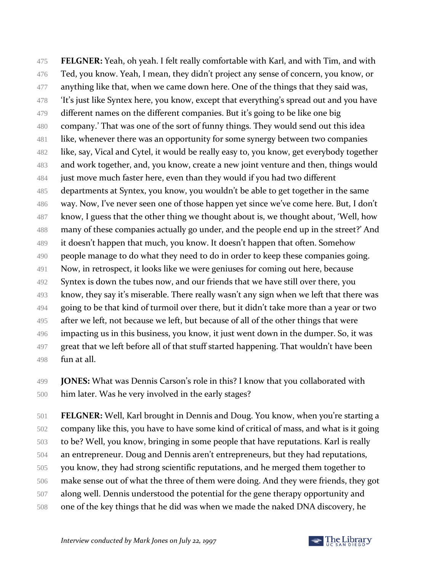**FELGNER:** Yeah, oh yeah. I felt really comfortable with Karl, and with Tim, and with Ted, you know. Yeah, I mean, they didn't project any sense of concern, you know, or 477 anything like that, when we came down here. One of the things that they said was, 'It's just like Syntex here, you know, except that everything's spread out and you have 479 different names on the different companies. But it's going to be like one big company.' That was one of the sort of funny things. They would send out this idea like, whenever there was an opportunity for some synergy between two companies 482 like, say, Vical and Cytel, it would be really easy to, you know, get everybody together and work together, and, you know, create a new joint venture and then, things would just move much faster here, even than they would if you had two different departments at Syntex, you know, you wouldn't be able to get together in the same way. Now, I've never seen one of those happen yet since we've come here. But, I don't 487 know, I guess that the other thing we thought about is, we thought about, 'Well, how many of these companies actually go under, and the people end up in the street?' And it doesn't happen that much, you know. It doesn't happen that often. Somehow 490 people manage to do what they need to do in order to keep these companies going. Now, in retrospect, it looks like we were geniuses for coming out here, because 492 Syntex is down the tubes now, and our friends that we have still over there, you know, they say it's miserable. There really wasn't any sign when we left that there was 494 going to be that kind of turmoil over there, but it didn't take more than a year or two 495 after we left, not because we left, but because of all of the other things that were impacting us in this business, you know, it just went down in the dumper. So, it was 497 great that we left before all of that stuff started happening. That wouldn't have been fun at all.

 **JONES:** What was Dennis Carson's role in this? I know that you collaborated with him later. Was he very involved in the early stages?

 **FELGNER:** Well, Karl brought in Dennis and Doug. You know, when you're starting a company like this, you have to have some kind of critical of mass, and what is it going to be? Well, you know, bringing in some people that have reputations. Karl is really an entrepreneur. Doug and Dennis aren't entrepreneurs, but they had reputations, you know, they had strong scientific reputations, and he merged them together to make sense out of what the three of them were doing. And they were friends, they got along well. Dennis understood the potential for the gene therapy opportunity and one of the key things that he did was when we made the naked DNA discovery, he

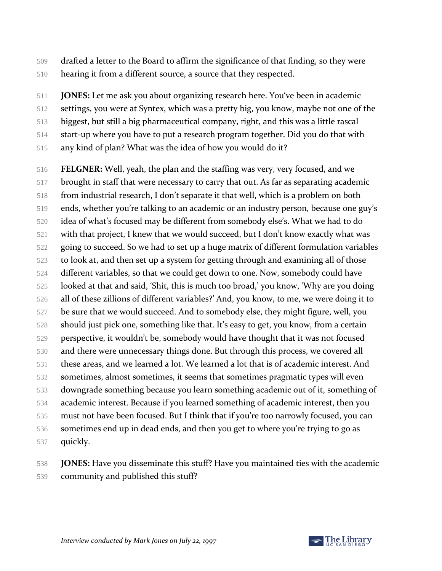- drafted a letter to the Board to affirm the significance of that finding, so they were hearing it from a different source, a source that they respected.
- **JONES:** Let me ask you about organizing research here. You've been in academic
- settings, you were at Syntex, which was a pretty big, you know, maybe not one of the
- biggest, but still a big pharmaceutical company, right, and this was a little rascal
- start-up where you have to put a research program together. Did you do that with
- any kind of plan? What was the idea of how you would do it?
- **FELGNER:** Well, yeah, the plan and the staffing was very, very focused, and we brought in staff that were necessary to carry that out. As far as separating academic from industrial research, I don't separate it that well, which is a problem on both ends, whether you're talking to an academic or an industry person, because one guy's idea of what's focused may be different from somebody else's. What we had to do with that project, I knew that we would succeed, but I don't know exactly what was going to succeed. So we had to set up a huge matrix of different formulation variables to look at, and then set up a system for getting through and examining all of those different variables, so that we could get down to one. Now, somebody could have looked at that and said, 'Shit, this is much too broad,' you know, 'Why are you doing all of these zillions of different variables?' And, you know, to me, we were doing it to be sure that we would succeed. And to somebody else, they might figure, well, you should just pick one, something like that. It's easy to get, you know, from a certain perspective, it wouldn't be, somebody would have thought that it was not focused and there were unnecessary things done. But through this process, we covered all these areas, and we learned a lot. We learned a lot that is of academic interest. And sometimes, almost sometimes, it seems that sometimes pragmatic types will even downgrade something because you learn something academic out of it, something of academic interest. Because if you learned something of academic interest, then you must not have been focused. But I think that if you're too narrowly focused, you can sometimes end up in dead ends, and then you get to where you're trying to go as quickly.
- **JONES:** Have you disseminate this stuff? Have you maintained ties with the academic community and published this stuff?

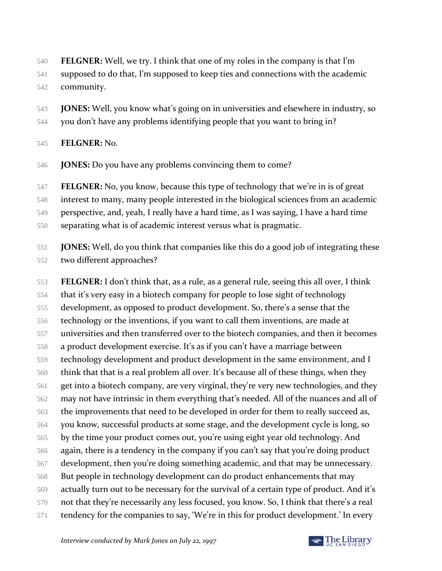- **FELGNER:** Well, we try. I think that one of my roles in the company is that I'm
- supposed to do that, I'm supposed to keep ties and connections with the academic
- community.
- **JONES:** Well, you know what's going on in universities and elsewhere in industry, so
- you don't have any problems identifying people that you want to bring in?

#### **FELGNER:** No.

**JONES:** Do you have any problems convincing them to come?

**FELGNER:** No, you know, because this type of technology that we're in is of great

interest to many, many people interested in the biological sciences from an academic

- perspective, and, yeah, I really have a hard time, as I was saying, I have a hard time
- separating what is of academic interest versus what is pragmatic.

 **JONES:** Well, do you think that companies like this do a good job of integrating these two different approaches?

 **FELGNER:** I don't think that, as a rule, as a general rule, seeing this all over, I think that it's very easy in a biotech company for people to lose sight of technology development, as opposed to product development. So, there's a sense that the technology or the inventions, if you want to call them inventions, are made at universities and then transferred over to the biotech companies, and then it becomes a product development exercise. It's as if you can't have a marriage between technology development and product development in the same environment, and I think that that is a real problem all over. It's because all of these things, when they get into a biotech company, are very virginal, they're very new technologies, and they may not have intrinsic in them everything that's needed. All of the nuances and all of 563 the improvements that need to be developed in order for them to really succeed as, you know, successful products at some stage, and the development cycle is long, so by the time your product comes out, you're using eight year old technology. And again, there is a tendency in the company if you can't say that you're doing product development, then you're doing something academic, and that may be unnecessary. But people in technology development can do product enhancements that may actually turn out to be necessary for the survival of a certain type of product. And it's not that they're necessarily any less focused, you know. So, I think that there's a real 571 tendency for the companies to say, 'We're in this for product development.' In every

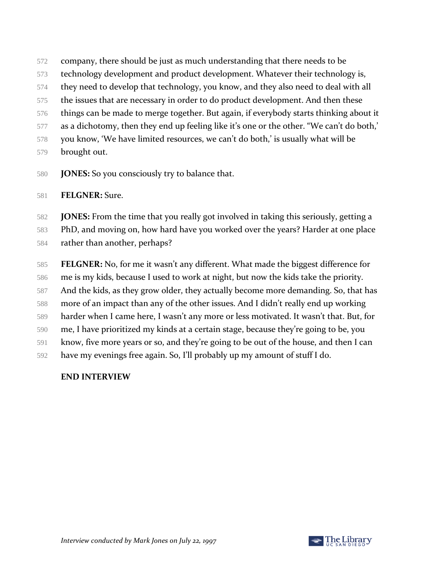- company, there should be just as much understanding that there needs to be
- technology development and product development. Whatever their technology is,
- they need to develop that technology, you know, and they also need to deal with all
- the issues that are necessary in order to do product development. And then these
- things can be made to merge together. But again, if everybody starts thinking about it
- 577 as a dichotomy, then they end up feeling like it's one or the other. "We can't do both,"
- you know, 'We have limited resources, we can't do both,' is usually what will be
- brought out.
- **JONES:** So you consciously try to balance that.

## **FELGNER:** Sure.

**JONES:** From the time that you really got involved in taking this seriously, getting a

- PhD, and moving on, how hard have you worked over the years? Harder at one place
- rather than another, perhaps?
- **FELGNER:** No, for me it wasn't any different. What made the biggest difference for me is my kids, because I used to work at night, but now the kids take the priority. 587 And the kids, as they grow older, they actually become more demanding. So, that has more of an impact than any of the other issues. And I didn't really end up working harder when I came here, I wasn't any more or less motivated. It wasn't that. But, for me, I have prioritized my kinds at a certain stage, because they're going to be, you know, five more years or so, and they're going to be out of the house, and then I can have my evenings free again. So, I'll probably up my amount of stuff I do.

# **END INTERVIEW**